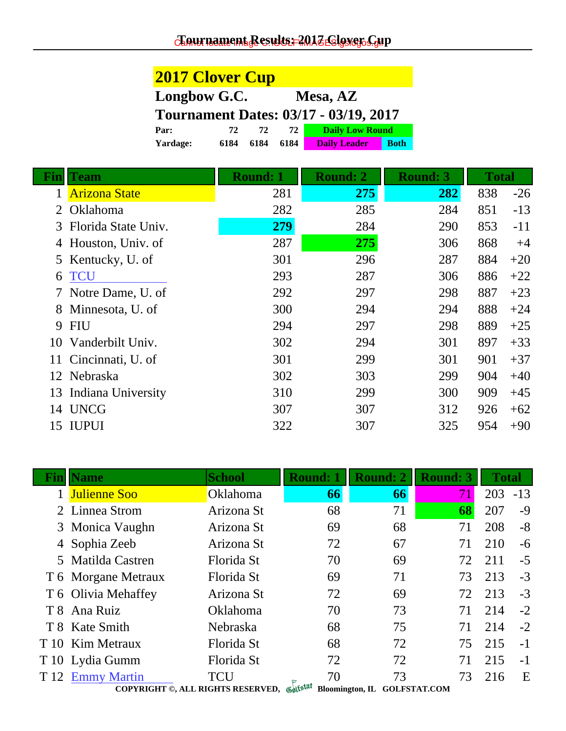**2017 Clover Cup**

| Longbow G.C.<br>Mesa, AZ |                                              |                      |                                    |                 |              |       |
|--------------------------|----------------------------------------------|----------------------|------------------------------------|-----------------|--------------|-------|
|                          | <b>Tournament Dates: 03/17 - 03/19, 2017</b> |                      |                                    |                 |              |       |
|                          | Par:                                         | 72<br>72<br>72       | <b>Daily Low Round</b>             |                 |              |       |
|                          | Yardage:                                     | 6184<br>6184<br>6184 | <b>Daily Leader</b><br><b>Both</b> |                 |              |       |
| Fin                      | <b>Team</b>                                  | <b>Round: 1</b>      | <b>Round: 2</b>                    | <b>Round: 3</b> | <b>Total</b> |       |
| 1                        | <b>Arizona State</b>                         | 281                  | 275                                | <b>282</b>      | 838          | $-26$ |
|                          | Oklahoma                                     | 282                  | 285                                | 284             | 851          | $-13$ |
| 3                        | Florida State Univ.                          | 279                  | 284                                | 290             | 853          | $-11$ |
| 4                        | Houston, Univ. of                            | 287                  | 275                                | 306             | 868          | $+4$  |
| 5                        | Kentucky, U. of                              | 301                  | 296                                | 287             | 884          | $+20$ |
| 6                        | <b>TCU</b>                                   | 293                  | 287                                | 306             | 886          | $+22$ |
|                          | Notre Dame, U. of                            | 292                  | 297                                | 298             | 887          | $+23$ |
| 8                        | Minnesota, U. of                             | 300                  | 294                                | 294             | 888          | $+24$ |
| 9                        | <b>FIU</b>                                   | 294                  | 297                                | 298             | 889          | $+25$ |
| 10                       | Vanderbilt Univ.                             | 302                  | 294                                | 301             | 897          | $+33$ |
| 11                       | Cincinnati, U. of                            | 301                  | 299                                | 301             | 901          | $+37$ |
|                          | 12 Nebraska                                  | 302                  | 303                                | 299             | 904          | $+40$ |
| 13                       | Indiana University                           | 310                  | 299                                | 300             | 909          | $+45$ |
| 14                       | <b>UNCG</b>                                  | 307                  | 307                                | 312             | 926          | $+62$ |
| 15                       | <b>IUPUI</b>                                 | 322                  | 307                                | 325             | 954          | $+90$ |
|                          |                                              |                      |                                    |                 |              |       |

| <b>Name</b>         | <b>School</b>                              | <b>Round: 1</b> | <b>Round: 2</b>              | <b>Round: 3</b> | <b>Total</b> |       |
|---------------------|--------------------------------------------|-----------------|------------------------------|-----------------|--------------|-------|
| <b>Julienne Soo</b> | Oklahoma                                   | 66              | 66                           | 71              | 203          | $-13$ |
| 2 Linnea Strom      | Arizona St                                 | 68              | 71                           | 68              | 207          | $-9$  |
| 3 Monica Vaughn     | Arizona St                                 | 69              | 68                           | 71              | 208          | $-8$  |
| 4 Sophia Zeeb       | Arizona St                                 | 72              | 67                           | 71              | 210          | $-6$  |
| 5 Matilda Castren   | Florida St                                 | 70              | 69                           | 72              | 211          | $-5$  |
| T 6 Morgane Metraux | Florida St                                 | 69              | 71                           | 73              | 213          | $-3$  |
| T 6 Olivia Mehaffey | Arizona St                                 | 72              | 69                           | 72              | 213          | $-3$  |
| T 8 Ana Ruiz        | <b>Oklahoma</b>                            | 70              | 73                           | 71              | 214          | $-2$  |
| T 8 Kate Smith      | <b>Nebraska</b>                            | 68              | 75                           | 71              | 214          | $-2$  |
| T 10 Kim Metraux    | Florida St                                 | 68              | 72                           | 75              | 215          | $-1$  |
| T 10 Lydia Gumm     | Florida St                                 | 72              | 72                           | 71              | 215          | $-1$  |
| T 12 Emmy Martin    | <b>TCU</b>                                 | 70              | 73                           | 73              | 216          | E     |
|                     | COPYRIGHT ©, ALL RIGHTS RESERVED, Gulfstat |                 | Bloomington, IL GOLFSTAT.COM |                 |              |       |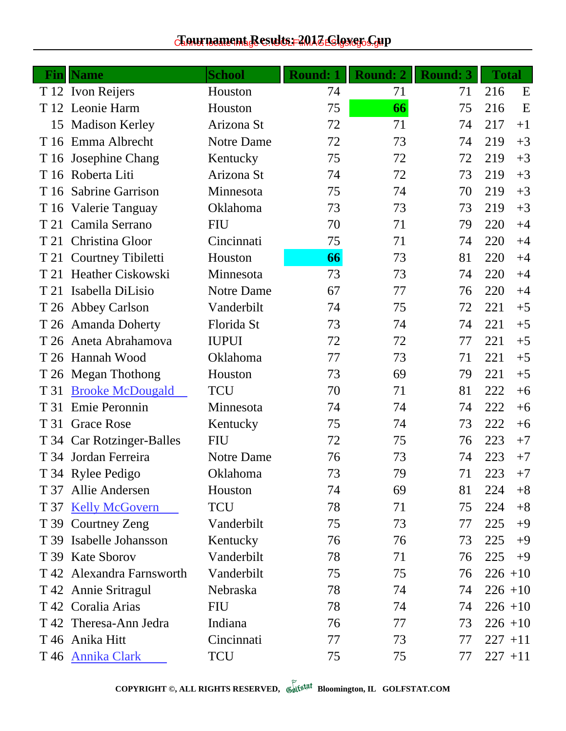## $c$ Eournament Results: 2017 ES!gs@c.Gup

| Fin  | <b>Name</b>               | <b>School</b> | <b>Round: 1</b> | <b>Round: 2</b> | <b>Round: 3</b> | <b>Total</b> |
|------|---------------------------|---------------|-----------------|-----------------|-----------------|--------------|
|      | T 12 Ivon Reijers         | Houston       | 74              | 71              | 71              | 216<br>E     |
|      | T 12 Leonie Harm          | Houston       | 75              | 66              | 75              | 216<br>E     |
| 15   | <b>Madison Kerley</b>     | Arizona St    | 72              | 71              | 74              | 217<br>$+1$  |
|      | T 16 Emma Albrecht        | Notre Dame    | 72              | 73              | 74              | 219<br>$+3$  |
|      | T 16 Josephine Chang      | Kentucky      | 75              | 72              | 72              | 219<br>$+3$  |
|      | T 16 Roberta Liti         | Arizona St    | 74              | 72              | 73              | 219<br>$+3$  |
|      | T 16 Sabrine Garrison     | Minnesota     | 75              | 74              | 70              | 219<br>$+3$  |
|      | T 16 Valerie Tanguay      | Oklahoma      | 73              | 73              | 73              | 219<br>$+3$  |
|      | T 21 Camila Serrano       | <b>FIU</b>    | 70              | 71              | 79              | 220<br>$+4$  |
|      | T 21 Christina Gloor      | Cincinnati    | 75              | 71              | 74              | 220<br>$+4$  |
|      | T 21 Courtney Tibiletti   | Houston       | 66              | 73              | 81              | 220<br>$+4$  |
|      | T 21 Heather Ciskowski    | Minnesota     | 73              | 73              | 74              | 220<br>$+4$  |
| T 21 | Isabella DiLisio          | Notre Dame    | 67              | 77              | 76              | 220<br>$+4$  |
|      | T 26 Abbey Carlson        | Vanderbilt    | 74              | 75              | 72              | 221<br>$+5$  |
|      | T 26 Amanda Doherty       | Florida St    | 73              | 74              | 74              | 221<br>$+5$  |
|      | T 26 Aneta Abrahamova     | <b>IUPUI</b>  | 72              | 72              | 77              | 221<br>$+5$  |
|      | T 26 Hannah Wood          | Oklahoma      | 77              | 73              | 71              | 221<br>$+5$  |
|      | T 26 Megan Thothong       | Houston       | 73              | 69              | 79              | 221<br>$+5$  |
| T 31 | <b>Brooke McDougald</b>   | <b>TCU</b>    | 70              | 71              | 81              | 222<br>$+6$  |
| T 31 | Emie Peronnin             | Minnesota     | 74              | 74              | 74              | 222<br>$+6$  |
|      | T 31 Grace Rose           | Kentucky      | 75              | 74              | 73              | 222<br>$+6$  |
|      | T 34 Car Rotzinger-Balles | <b>FIU</b>    | 72              | 75              | 76              | 223<br>$+7$  |
|      | T 34 Jordan Ferreira      | Notre Dame    | 76              | 73              | 74              | 223<br>$+7$  |
|      | T 34 Rylee Pedigo         | Oklahoma      | 73              | 79              | 71              | 223<br>$+7$  |
| T 37 | Allie Andersen            | Houston       | 74              | 69              | 81              | 224<br>$+8$  |
|      | T 37 Kelly McGovern       | <b>TCU</b>    | 78              | 71              | 75              | 224<br>$+8$  |
|      | T 39 Courtney Zeng        | Vanderbilt    | 75              | 73              | 77              | 225<br>$+9$  |
|      | T 39 Isabelle Johansson   | Kentucky      | 76              | 76              | 73              | 225<br>$+9$  |
|      | T 39 Kate Sborov          | Vanderbilt    | 78              | 71              | 76              | 225<br>$+9$  |
|      | T 42 Alexandra Farnsworth | Vanderbilt    | 75              | 75              | 76              | $226 + 10$   |
|      | T 42 Annie Sritragul      | Nebraska      | 78              | 74              | 74              | $226 + 10$   |
|      | T 42 Coralia Arias        | <b>FIU</b>    | 78              | 74              | 74              | $226 + 10$   |
|      | T 42 Theresa-Ann Jedra    | Indiana       | 76              | 77              | 73              | $226 + 10$   |
|      | T 46 Anika Hitt           | Cincinnati    | 77              | 73              | 77              | $227 + 11$   |
|      | T 46 Annika Clark         | <b>TCU</b>    | 75              | 75              | 77              | $227 + 11$   |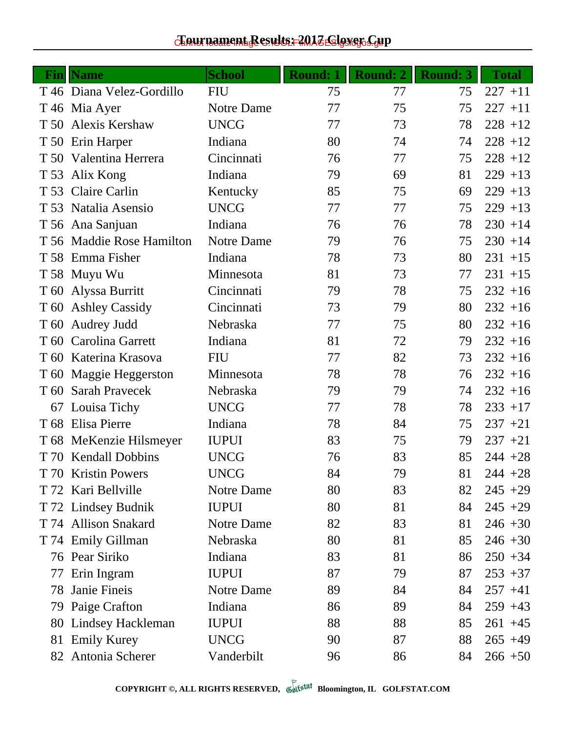## $c$ Eournament Results: 2017 ES!gs@c.Gup

| Fin | <b>Name</b>               | <b>School</b> | <b>Round: 1</b> | <b>Round: 2</b> | <b>Round: 3</b> | <b>Total</b> |
|-----|---------------------------|---------------|-----------------|-----------------|-----------------|--------------|
|     | T 46 Diana Velez-Gordillo | <b>FIU</b>    | 75              | 77              | 75              | $227 + 11$   |
|     | T 46 Mia Ayer             | Notre Dame    | 77              | 75              | 75              | $227 + 11$   |
|     | T 50 Alexis Kershaw       | <b>UNCG</b>   | 77              | 73              | 78              | $228 + 12$   |
|     | T 50 Erin Harper          | Indiana       | 80              | 74              | 74              | $228 + 12$   |
|     | T 50 Valentina Herrera    | Cincinnati    | 76              | 77              | 75              | $228 + 12$   |
|     | T 53 Alix Kong            | Indiana       | 79              | 69              | 81              | $229 + 13$   |
|     | T 53 Claire Carlin        | Kentucky      | 85              | 75              | 69              | $229 + 13$   |
|     | T 53 Natalia Asensio      | <b>UNCG</b>   | 77              | 77              | 75              | $229 + 13$   |
|     | T 56 Ana Sanjuan          | Indiana       | 76              | 76              | 78              | $230 + 14$   |
|     | T 56 Maddie Rose Hamilton | Notre Dame    | 79              | 76              | 75              | $230 + 14$   |
|     | T 58 Emma Fisher          | Indiana       | 78              | 73              | 80              | $231 + 15$   |
|     | T 58 Muyu Wu              | Minnesota     | 81              | 73              | 77              | $231 + 15$   |
|     | T 60 Alyssa Burritt       | Cincinnati    | 79              | 78              | 75              | $232 + 16$   |
|     | T 60 Ashley Cassidy       | Cincinnati    | 73              | 79              | 80              | $232 + 16$   |
|     | T 60 Audrey Judd          | Nebraska      | 77              | 75              | 80              | $232 + 16$   |
|     | T 60 Carolina Garrett     | Indiana       | 81              | 72              | 79              | $232 + 16$   |
|     | T 60 Katerina Krasova     | <b>FIU</b>    | 77              | 82              | 73              | $232 + 16$   |
|     | T 60 Maggie Heggerston    | Minnesota     | 78              | 78              | 76              | $232 + 16$   |
|     | T 60 Sarah Pravecek       | Nebraska      | 79              | 79              | 74              | $232 + 16$   |
|     | 67 Louisa Tichy           | <b>UNCG</b>   | 77              | 78              | 78              | $233 + 17$   |
|     | T 68 Elisa Pierre         | Indiana       | 78              | 84              | 75              | $237 + 21$   |
|     | T 68 MeKenzie Hilsmeyer   | <b>IUPUI</b>  | 83              | 75              | 79              | $237 + 21$   |
|     | T 70 Kendall Dobbins      | <b>UNCG</b>   | 76              | 83              | 85              | $244 + 28$   |
|     | T 70 Kristin Powers       | <b>UNCG</b>   | 84              | 79              | 81              | $244 + 28$   |
|     | T 72 Kari Bellville       | Notre Dame    | 80              | 83              | 82              | $245 + 29$   |
|     | T 72 Lindsey Budnik       | <b>IUPUI</b>  | 80              | 81              | 84              | $245 + 29$   |
|     | T 74 Allison Snakard      | Notre Dame    | 82              | 83              | 81              | $246 + 30$   |
|     | T 74 Emily Gillman        | Nebraska      | 80              | 81              | 85              | $246 + 30$   |
|     | 76 Pear Siriko            | Indiana       | 83              | 81              | 86              | $250 + 34$   |
| 77  | Erin Ingram               | <b>IUPUI</b>  | 87              | 79              | 87              | $253 + 37$   |
| 78  | Janie Fineis              | Notre Dame    | 89              | 84              | 84              | $257 + 41$   |
|     | 79 Paige Crafton          | Indiana       | 86              | 89              | 84              | $259 + 43$   |
| 80  | Lindsey Hackleman         | <b>IUPUI</b>  | 88              | 88              | 85              | $261 + 45$   |
|     | 81 Emily Kurey            | <b>UNCG</b>   | 90              | 87              | 88              | $265 + 49$   |
|     | 82 Antonia Scherer        | Vanderbilt    | 96              | 86              | 84              | $266 + 50$   |